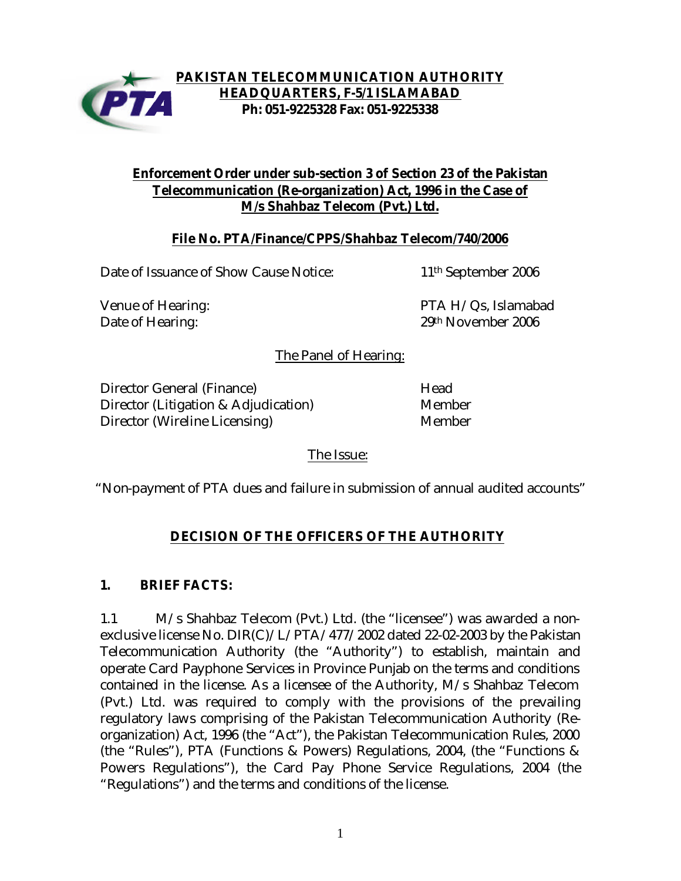

## **PAKISTAN TELECOMMUNICATION AUTHORITY HEADQUARTERS, F-5/1 ISLAMABAD Ph: 051-9225328 Fax: 051-9225338**

## **Enforcement Order under sub-section 3 of Section 23 of the Pakistan Telecommunication (Re-organization) Act, 1996 in the Case of M/s Shahbaz Telecom (Pvt.) Ltd.**

## **File No. PTA/Finance/CPPS/Shahbaz Telecom/740/2006**

Date of Issuance of Show Cause Notice: 11<sup>th</sup> September 2006

Venue of Hearing: Venue of Hearing: Date of Hearing: 29th November 2006

The Panel of Hearing:

Director General (Finance) Head Director (Litigation & Adjudication) Member Director (Wireline Licensing) Member

The Issue:

"Non-payment of PTA dues and failure in submission of annual audited accounts"

# **DECISION OF THE OFFICERS OF THE AUTHORITY**

## **1. BRIEF FACTS:**

1.1 M/s Shahbaz Telecom (Pvt.) Ltd. (the "licensee") was awarded a nonexclusive license No. DIR(C)/L/PTA/477/2002 dated 22-02-2003 by the Pakistan Telecommunication Authority (the "Authority") to establish, maintain and operate Card Payphone Services in Province Punjab on the terms and conditions contained in the license. As a licensee of the Authority, M/s Shahbaz Telecom (Pvt.) Ltd. was required to comply with the provisions of the prevailing regulatory laws comprising of the Pakistan Telecommunication Authority (Reorganization) Act, 1996 (the "Act"), the Pakistan Telecommunication Rules, 2000 (the "Rules"), PTA (Functions & Powers) Regulations, 2004, (the "Functions & Powers Regulations"), the Card Pay Phone Service Regulations, 2004 (the "Regulations") and the terms and conditions of the license.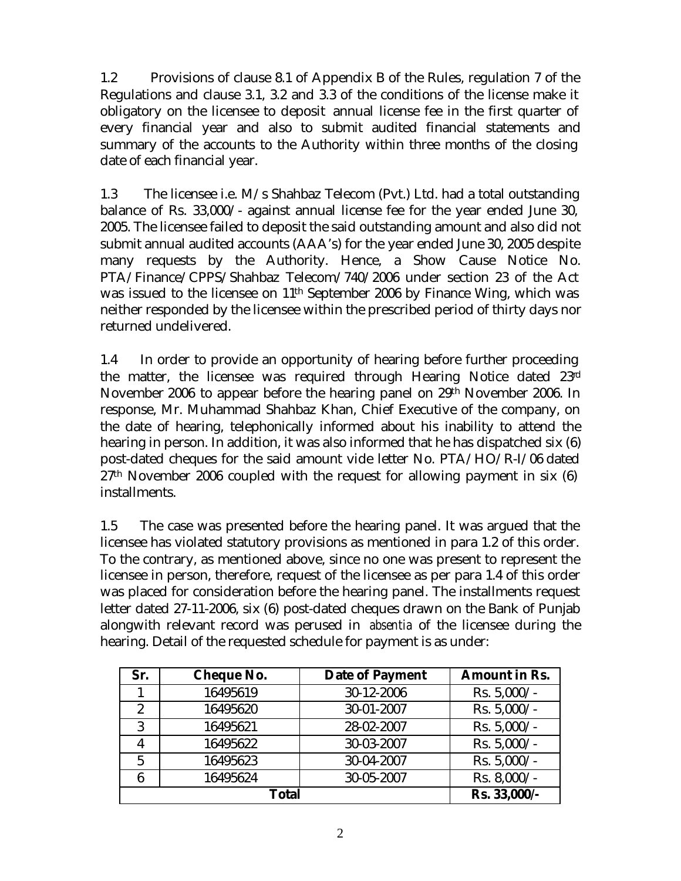1.2 Provisions of clause 8.1 of Appendix B of the Rules, regulation 7 of the Regulations and clause 3.1, 3.2 and 3.3 of the conditions of the license make it obligatory on the licensee to deposit annual license fee in the first quarter of every financial year and also to submit audited financial statements and summary of the accounts to the Authority within three months of the closing date of each financial year.

1.3 The licensee i.e. M/s Shahbaz Telecom (Pvt.) Ltd. had a total outstanding balance of Rs. 33,000/- against annual license fee for the year ended June 30, 2005. The licensee failed to deposit the said outstanding amount and also did not submit annual audited accounts (AAA's) for the year ended June 30, 2005 despite many requests by the Authority. Hence, a Show Cause Notice No. PTA/Finance/CPPS/Shahbaz Telecom/740/2006 under section 23 of the Act was issued to the licensee on 11th September 2006 by Finance Wing, which was neither responded by the licensee within the prescribed period of thirty days nor returned undelivered.

1.4 In order to provide an opportunity of hearing before further proceeding the matter, the licensee was required through Hearing Notice dated 23rd November 2006 to appear before the hearing panel on 29th November 2006. In response, Mr. Muhammad Shahbaz Khan, Chief Executive of the company, on the date of hearing, telephonically informed about his inability to attend the hearing in person. In addition, it was also informed that he has dispatched six (6) post-dated cheques for the said amount vide letter No. PTA/HO/R-I/06 dated 27th November 2006 coupled with the request for allowing payment in six (6) installments.

1.5 The case was presented before the hearing panel. It was argued that the licensee has violated statutory provisions as mentioned in para 1.2 of this order. To the contrary, as mentioned above, since no one was present to represent the licensee in person, therefore, request of the licensee as per para 1.4 of this order was placed for consideration before the hearing panel. The installments request letter dated 27-11-2006, six (6) post-dated cheques drawn on the Bank of Punjab alongwith relevant record was perused in *absentia* of the licensee during the hearing. Detail of the requested schedule for payment is as under:

| Sr.          | <b>Cheque No.</b> | <b>Date of Payment</b> | <b>Amount in Rs.</b> |
|--------------|-------------------|------------------------|----------------------|
|              | 16495619          | 30-12-2006             | Rs. $5,000/-$        |
| 9            | 16495620          | 30-01-2007             | Rs. $5,000/-$        |
| 3            | 16495621          | 28-02-2007             | Rs. $5,000/-$        |
| 4            | 16495622          | 30-03-2007             | Rs. $5,000/-$        |
| 5            | 16495623          | 30-04-2007             | Rs. $5,000/-$        |
| 6            | 16495624          | 30-05-2007             | Rs. $8,000/-$        |
| <b>Total</b> |                   |                        | Rs. 33,000/-         |